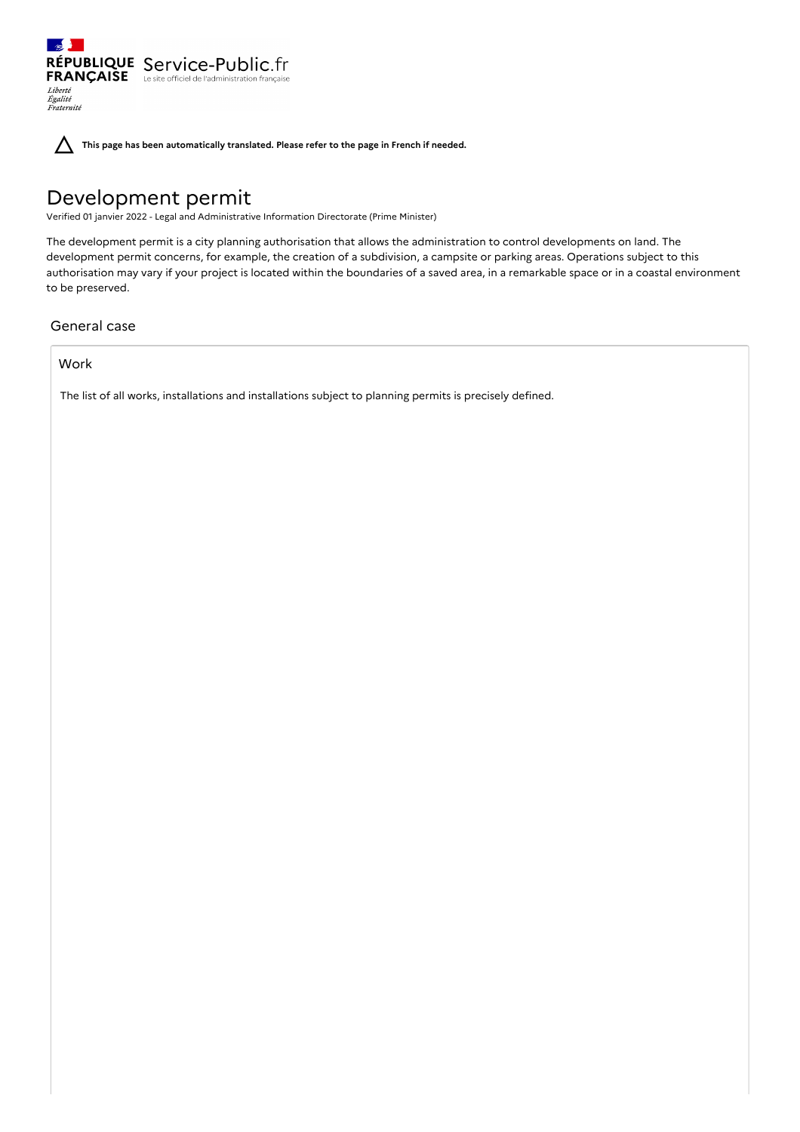$\sim$ RÉPUBLIQUE Service-Public.fr **FRANÇAISE** Le site officiel de l'administration française Liberté<br>Égalité<br>Fraternité

**This page has been automatically translated. Please refer to the page in French if needed.**

# Development permit

Verified 01 janvier 2022 - Legal and Administrative Information Directorate (Prime Minister)

The development permit is a city planning authorisation that allows the administration to control developments on land. The development permit concerns, for example, the creation of a subdivision, a campsite or parking areas. Operations subject to this authorisation may vary if your project is located within the boundaries of a saved area, in a remarkable space or in a coastal environment to be preserved.

# General case

# Work

The list of all works, installations and installations subject to planning permits is precisely defined.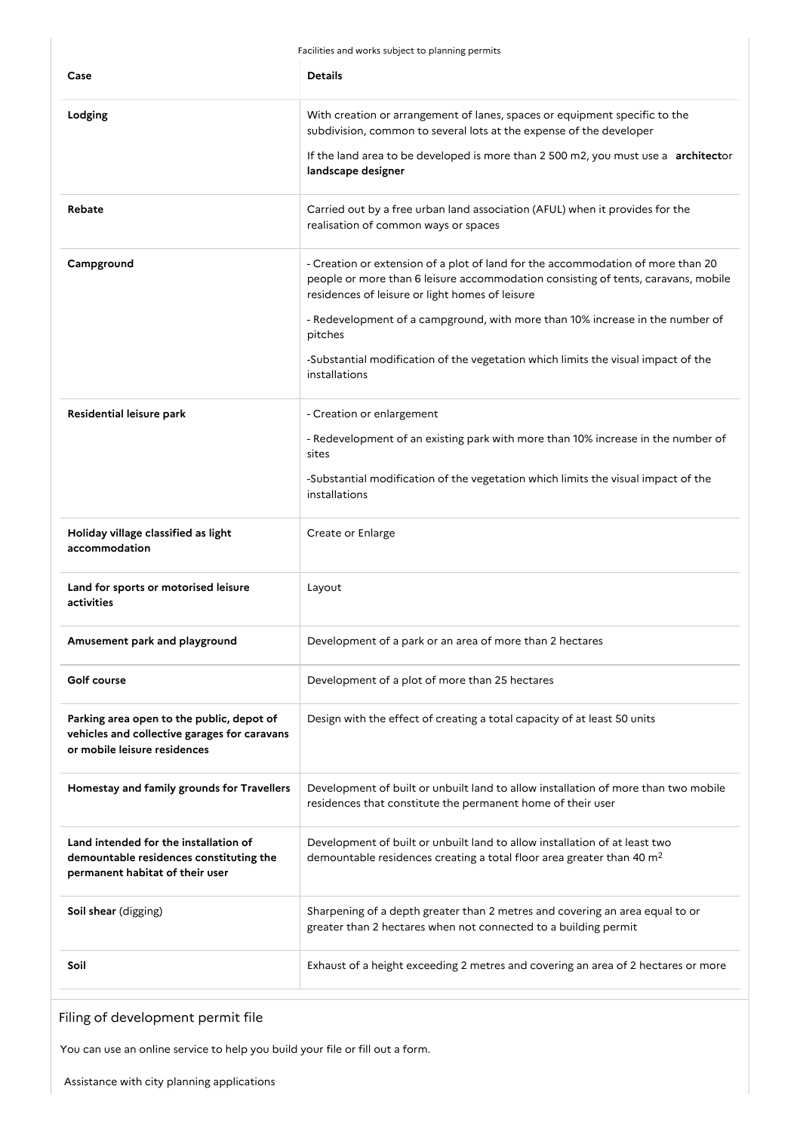Facilities and works subject to planning permits

| Case                                                                                                                      | <b>Details</b>                                                                                                                                                                                                          |
|---------------------------------------------------------------------------------------------------------------------------|-------------------------------------------------------------------------------------------------------------------------------------------------------------------------------------------------------------------------|
| Lodging                                                                                                                   | With creation or arrangement of lanes, spaces or equipment specific to the<br>subdivision, common to several lots at the expense of the developer                                                                       |
|                                                                                                                           | If the land area to be developed is more than 2 500 m2, you must use a architector<br>landscape designer                                                                                                                |
| Rebate                                                                                                                    | Carried out by a free urban land association (AFUL) when it provides for the<br>realisation of common ways or spaces                                                                                                    |
| Campground                                                                                                                | - Creation or extension of a plot of land for the accommodation of more than 20<br>people or more than 6 leisure accommodation consisting of tents, caravans, mobile<br>residences of leisure or light homes of leisure |
|                                                                                                                           | - Redevelopment of a campground, with more than 10% increase in the number of<br>pitches                                                                                                                                |
|                                                                                                                           | -Substantial modification of the vegetation which limits the visual impact of the<br>installations                                                                                                                      |
| Residential leisure park                                                                                                  | - Creation or enlargement                                                                                                                                                                                               |
|                                                                                                                           | - Redevelopment of an existing park with more than 10% increase in the number of<br>sites                                                                                                                               |
|                                                                                                                           | -Substantial modification of the vegetation which limits the visual impact of the<br>installations                                                                                                                      |
| Holiday village classified as light<br>accommodation                                                                      | Create or Enlarge                                                                                                                                                                                                       |
| Land for sports or motorised leisure<br>activities                                                                        | Layout                                                                                                                                                                                                                  |
| Amusement park and playground                                                                                             | Development of a park or an area of more than 2 hectares                                                                                                                                                                |
| Golf course                                                                                                               | Development of a plot of more than 25 hectares                                                                                                                                                                          |
| Parking area open to the public, depot of<br>vehicles and collective garages for caravans<br>or mobile leisure residences | Design with the effect of creating a total capacity of at least 50 units                                                                                                                                                |
| Homestay and family grounds for Travellers                                                                                | Development of built or unbuilt land to allow installation of more than two mobile<br>residences that constitute the permanent home of their user                                                                       |
| Land intended for the installation of<br>demountable residences constituting the<br>permanent habitat of their user       | Development of built or unbuilt land to allow installation of at least two<br>demountable residences creating a total floor area greater than 40 m <sup>2</sup>                                                         |
| Soil shear (digging)                                                                                                      | Sharpening of a depth greater than 2 metres and covering an area equal to or<br>greater than 2 hectares when not connected to a building permit                                                                         |
| Soil                                                                                                                      | Exhaust of a height exceeding 2 metres and covering an area of 2 hectares or more                                                                                                                                       |

Filing of development permit file

You can use an online service to help you build your file or fill out a form.

Assistance with city planning applications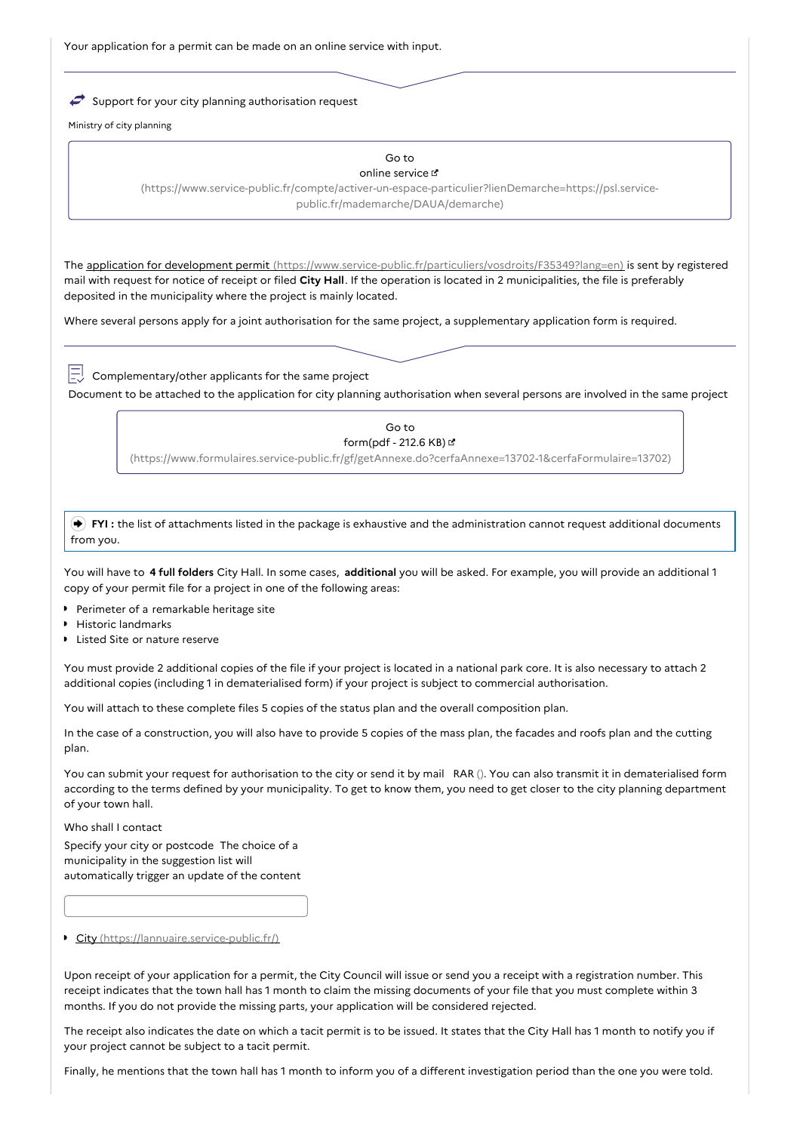Your application for a permit can be made on an online service with input.

 $\rightarrow$  Support for your city planning authorisation request

Ministry of city planning

#### Go to online service

[\(https://www.service-public.fr/compte/activer-un-espace-particulier?lienDemarche=https://psl.service](https://www.service-public.fr/compte/activer-un-espace-particulier?lienDemarche=https://psl.service-public.fr/mademarche/DAUA/demarche)public.fr/mademarche/DAUA/demarche)

The application for development permit [\(https://www.service-public.fr/particuliers/vosdroits/F35349?lang=en\)](https://www.service-public.fr/particuliers/vosdroits/F35349?lang=en) is sent by registered mail with request for notice of receipt or filed **City Hall**. If the operation is located in 2 municipalities, the file is preferably deposited in the municipality where the project is mainly located.

Where several persons apply for a joint authorisation for the same project, a supplementary application form is required.

Complementary/other applicants for the same project

Document to be attached to the application for city planning authorisation when several persons are involved in the same project

### Go to form(pdf - 212.6 KB)

[\(https://www.formulaires.service-public.fr/gf/getAnnexe.do?cerfaAnnexe=13702-1&cerfaFormulaire=13702\)](https://www.formulaires.service-public.fr/gf/getAnnexe.do?cerfaAnnexe=13702-1&cerfaFormulaire=13702)

 **FYI :** the list of attachments listed in the package is exhaustive and the administration cannot request additional documents from you.

You will have to **4 full folders** City Hall. In some cases, **additional** you will be asked. For example, you will provide an additional 1 copy of your permit file for a project in one of the following areas:

- **Perimeter of a remarkable heritage site**
- **Historic landmarks**
- **Listed Site or nature reserve**

You must provide 2 additional copies of the file if your project is located in a national park core. It is also necessary to attach 2 additional copies (including 1 in dematerialised form) if your project is subject to commercial authorisation.

You will attach to these complete files 5 copies of the status plan and the overall composition plan.

In the case of a construction, you will also have to provide 5 copies of the mass plan, the facades and roofs plan and the cutting plan.

You can submit your request for authorisation to the city or send it by mail RAR (). You can also transmit it in dematerialised form according to the terms defined by your municipality. To get to know them, you need to get closer to the city planning department of your town hall.

Who shall I contact

Specify your city or postcode The choice of a municipality in the suggestion list will automatically trigger an update of the content

City [\(https://lannuaire.service-public.fr/\)](https://lannuaire.service-public.fr/)

Upon receipt of your application for a permit, the City Council will issue or send you a receipt with a registration number. This receipt indicates that the town hall has 1 month to claim the missing documents of your file that you must complete within 3 months. If you do not provide the missing parts, your application will be considered rejected.

The receipt also indicates the date on which a tacit permit is to be issued. It states that the City Hall has 1 month to notify you if your project cannot be subject to a tacit permit.

Finally, he mentions that the town hall has 1 month to inform you of a different investigation period than the one you were told.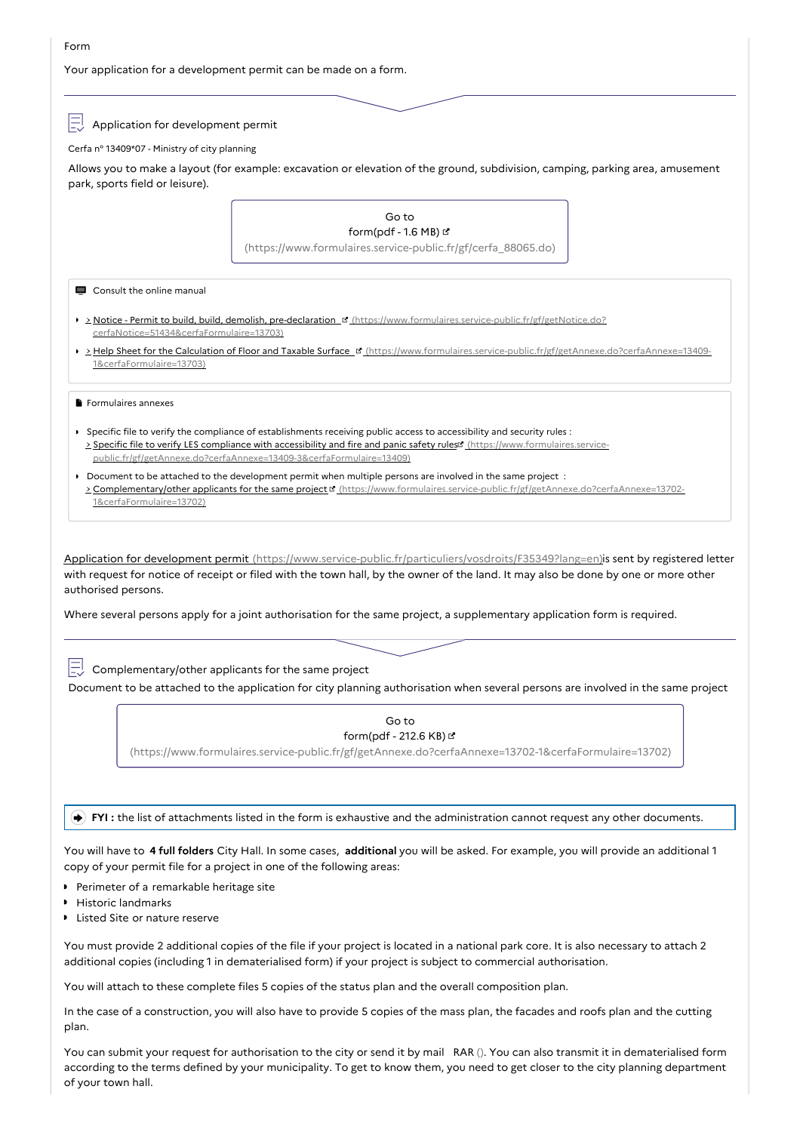Your application for a development permit can be made on a form.

Application for development permit

Cerfa n° 13409\*07 - Ministry of city planning

Allows you to make a layout (for example: excavation or elevation of the ground, subdivision, camping, parking area, amusement park, sports field or leisure).



You must provide 2 additional copies of the file if your project is located in a national park core. It is also necessary to attach 2 additional copies (including 1 in dematerialised form) if your project is subject to commercial authorisation.

You will attach to these complete files 5 copies of the status plan and the overall composition plan.

In the case of a construction, you will also have to provide 5 copies of the mass plan, the facades and roofs plan and the cutting plan.

You can submit your request for authorisation to the city or send it by mail RAR (). You can also transmit it in dematerialised form according to the terms defined by your municipality. To get to know them, you need to get closer to the city planning department of your town hall.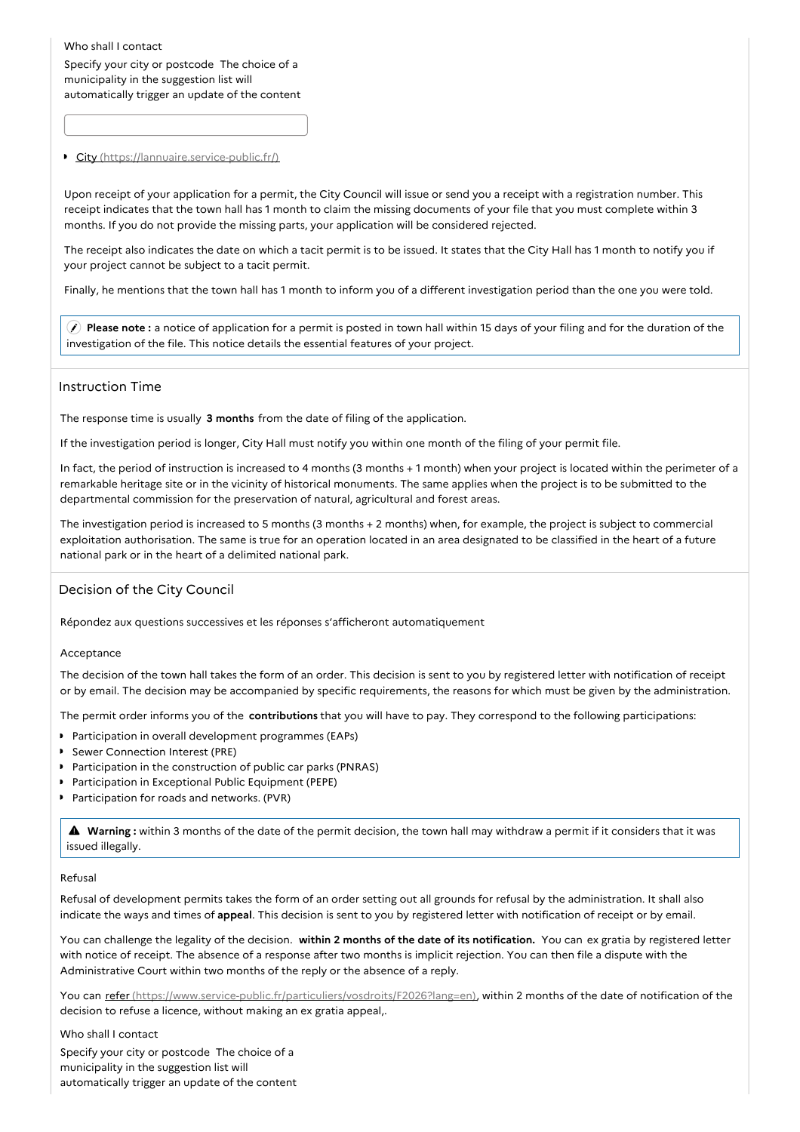Who shall I contact

Specify your city or postcode The choice of a municipality in the suggestion list will automatically trigger an update of the content

### City [\(https://lannuaire.service-public.fr/\)](https://lannuaire.service-public.fr/)

Upon receipt of your application for a permit, the City Council will issue or send you a receipt with a registration number. This receipt indicates that the town hall has 1 month to claim the missing documents of your file that you must complete within 3 months. If you do not provide the missing parts, your application will be considered rejected.

The receipt also indicates the date on which a tacit permit is to be issued. It states that the City Hall has 1 month to notify you if your project cannot be subject to a tacit permit.

Finally, he mentions that the town hall has 1 month to inform you of a different investigation period than the one you were told.

 **Please note :** a notice of application for a permit is posted in town hall within 15 days of your filing and for the duration of the investigation of the file. This notice details the essential features of your project.

### Instruction Time

The response time is usually **3 months** from the date of filing of the application.

If the investigation period is longer, City Hall must notify you within one month of the filing of your permit file.

In fact, the period of instruction is increased to 4 months (3 months + 1 month) when your project is located within the perimeter of a remarkable heritage site or in the vicinity of historical monuments. The same applies when the project is to be submitted to the departmental commission for the preservation of natural, agricultural and forest areas.

The investigation period is increased to 5 months (3 months + 2 months) when, for example, the project is subject to commercial exploitation authorisation. The same is true for an operation located in an area designated to be classified in the heart of a future national park or in the heart of a delimited national park.

### Decision of the City Council

Répondez aux questions successives et les réponses s'afficheront automatiquement

### Acceptance

The decision of the town hall takes the form of an order. This decision is sent to you by registered letter with notification of receipt or by email. The decision may be accompanied by specific requirements, the reasons for which must be given by the administration.

The permit order informs you of the **contributions** that you will have to pay. They correspond to the following participations:

- **Participation in overall development programmes (EAPs)**
- Sewer Connection Interest (PRE)
- **Participation in the construction of public car parks (PNRAS)**
- **Participation in Exceptional Public Equipment (PEPE)**
- **Participation for roads and networks. (PVR)**

 **Warning :** within <sup>3</sup> months of the date of the permit decision, the town hall may withdraw <sup>a</sup> permit if it considers that it was issued illegally.

### Refusal

Refusal of development permits takes the form of an order setting out all grounds for refusal by the administration. It shall also indicate the ways and times of **appeal**. This decision is sent to you by registered letter with notification of receipt or by email.

You can challenge the legality of the decision. **within 2 months of the date of its notification.** You can ex gratia by registered letter with notice of receipt. The absence of a response after two months is implicit rejection. You can then file a dispute with the Administrative Court within two months of the reply or the absence of a reply.

You can refer [\(https://www.service-public.fr/particuliers/vosdroits/F2026?lang=en\)](https://www.service-public.fr/particuliers/vosdroits/F2026?lang=en), within 2 months of the date of notification of the decision to refuse a licence, without making an ex gratia appeal,.

Who shall I contact Specify your city or postcode The choice of a municipality in the suggestion list will automatically trigger an update of the content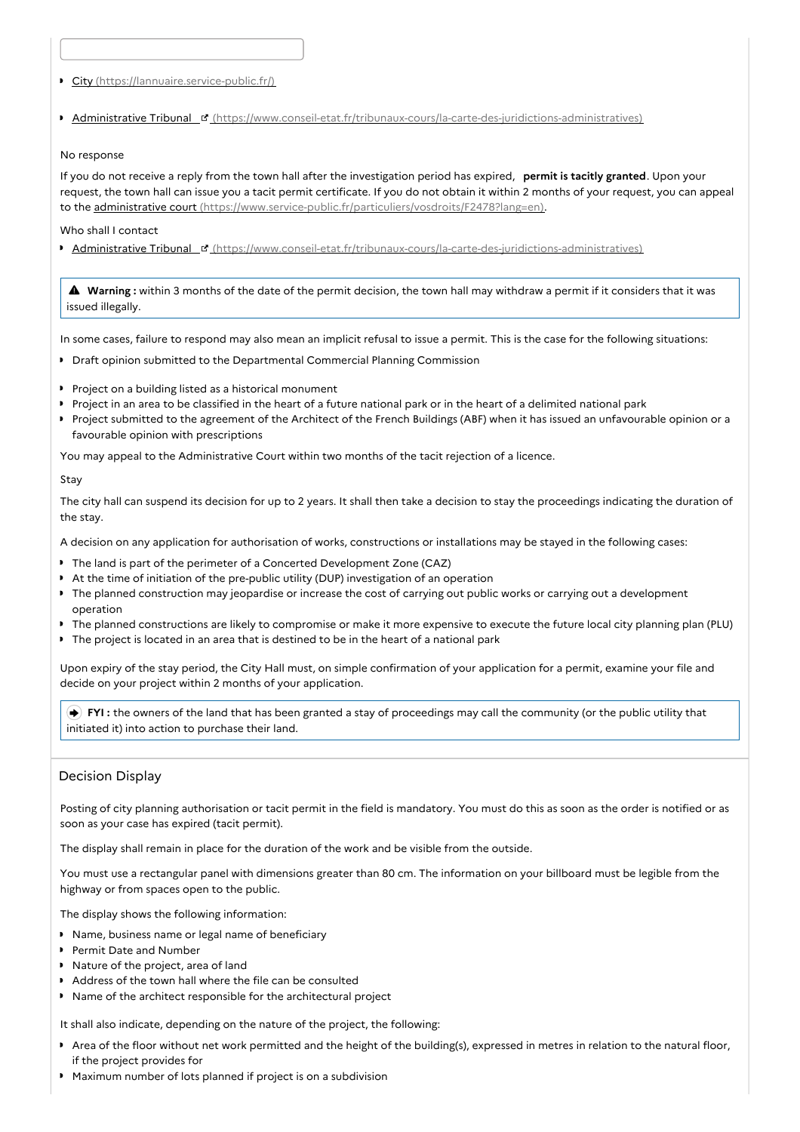City [\(https://lannuaire.service-public.fr/\)](https://lannuaire.service-public.fr/)

Administrative Tribunal [\(https://www.conseil-etat.fr/tribunaux-cours/la-carte-des-juridictions-administratives\)](https://www.conseil-etat.fr/tribunaux-cours/la-carte-des-juridictions-administratives)

### No response

If you do not receive a reply from the town hall after the investigation period has expired, **permit is tacitly granted**. Upon your request, the town hall can issue you a tacit permit certificate. If you do not obtain it within 2 months of your request, you can appeal to the administrative court [\(https://www.service-public.fr/particuliers/vosdroits/F2478?lang=en\)](https://www.service-public.fr/particuliers/vosdroits/F2478?lang=en).

Who shall I contact

Administrative Tribunal [\(https://www.conseil-etat.fr/tribunaux-cours/la-carte-des-juridictions-administratives\)](https://www.conseil-etat.fr/tribunaux-cours/la-carte-des-juridictions-administratives)

 **Warning :** within <sup>3</sup> months of the date of the permit decision, the town hall may withdraw <sup>a</sup> permit if it considers that it was issued illegally.

In some cases, failure to respond may also mean an implicit refusal to issue a permit. This is the case for the following situations:

- **Draft opinion submitted to the Departmental Commercial Planning Commission**
- **Project on a building listed as a historical monument**
- Project in an area to be classified in the heart of a future national park or in the heart of a delimited national park
- Project submitted to the agreement of the Architect of the French Buildings (ABF) when it has issued an unfavourable opinion or a favourable opinion with prescriptions

You may appeal to the Administrative Court within two months of the tacit rejection of a licence.

### Stay

The city hall can suspend its decision for up to 2 years. It shall then take a decision to stay the proceedings indicating the duration of the stay.

A decision on any application for authorisation of works, constructions or installations may be stayed in the following cases:

- The land is part of the perimeter of a Concerted Development Zone (CAZ)
- At the time of initiation of the pre-public utility (DUP) investigation of an operation
- The planned construction may jeopardise or increase the cost of carrying out public works or carrying out a development operation
- The planned constructions are likely to compromise or make it more expensive to execute the future local city planning plan (PLU)
- The project is located in an area that is destined to be in the heart of a national park

Upon expiry of the stay period, the City Hall must, on simple confirmation of your application for a permit, examine your file and decide on your project within 2 months of your application.

 **FYI :** the owners of the land that has been granted a stay of proceedings may call the community (or the public utility that initiated it) into action to purchase their land.

# Decision Display

Posting of city planning authorisation or tacit permit in the field is mandatory. You must do this as soon as the order is notified or as soon as your case has expired (tacit permit).

The display shall remain in place for the duration of the work and be visible from the outside.

You must use a rectangular panel with dimensions greater than 80 cm. The information on your billboard must be legible from the highway or from spaces open to the public.

The display shows the following information:

- Name, business name or legal name of beneficiary
- **P** Permit Date and Number
- Nature of the project, area of land
- Address of the town hall where the file can be consulted
- Name of the architect responsible for the architectural project

It shall also indicate, depending on the nature of the project, the following:

- Area of the floor without net work permitted and the height of the building(s), expressed in metres in relation to the natural floor, if the project provides for
- Maximum number of lots planned if project is on a subdivision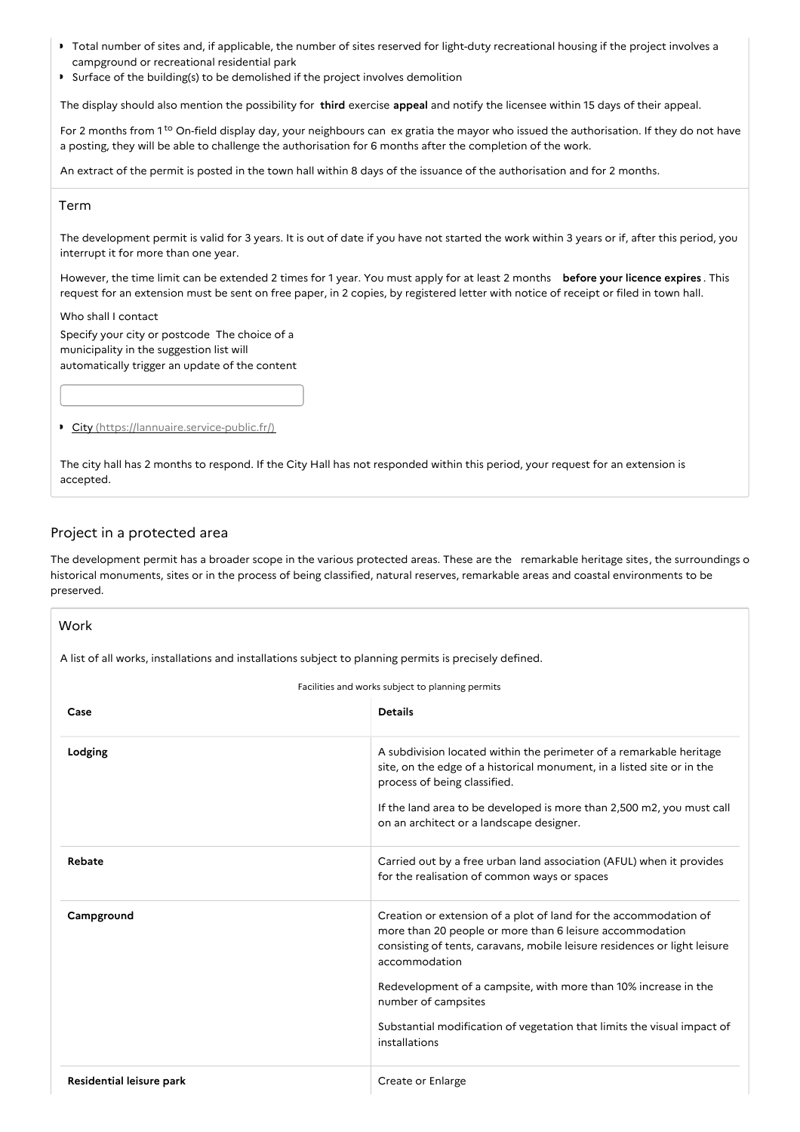- Total number of sites and, if applicable, the number of sites reserved for light-duty recreational housing if the project involves a campground or recreational residential park
- Surface of the building(s) to be demolished if the project involves demolition

The display should also mention the possibility for **third** exercise **appeal** and notify the licensee within 15 days of their appeal.

For 2 months from 1<sup>to</sup> On-field display day, your neighbours can ex gratia the mayor who issued the authorisation. If they do not have a posting, they will be able to challenge the authorisation for 6 months after the completion of the work.

An extract of the permit is posted in the town hall within 8 days of the issuance of the authorisation and for 2 months.

### Term

The development permit is valid for 3 years. It is out of date if you have not started the work within 3 years or if, after this period, you interrupt it for more than one year.

However, the time limit can be extended 2 times for 1 year. You must apply for at least 2 months **before your licence expires** . This request for an extension must be sent on free paper, in 2 copies, by registered letter with notice of receipt or filed in town hall.

### Who shall I contact

Specify your city or postcode The choice of a municipality in the suggestion list will automatically trigger an update of the content

City [\(https://lannuaire.service-public.fr/\)](https://lannuaire.service-public.fr/)

The city hall has 2 months to respond. If the City Hall has not responded within this period, your request for an extension is accepted.

# Project in a protected area

The development permit has a broader scope in the various protected areas. These are the remarkable heritage sites, the surroundings o historical monuments, sites or in the process of being classified, natural reserves, remarkable areas and coastal environments to be preserved.

| A list of all works, installations and installations subject to planning permits is precisely defined. |                                                                                                                                                                                                                            |  |
|--------------------------------------------------------------------------------------------------------|----------------------------------------------------------------------------------------------------------------------------------------------------------------------------------------------------------------------------|--|
| Facilities and works subject to planning permits                                                       |                                                                                                                                                                                                                            |  |
| Case                                                                                                   | <b>Details</b>                                                                                                                                                                                                             |  |
| Lodging                                                                                                | A subdivision located within the perimeter of a remarkable heritage<br>site, on the edge of a historical monument, in a listed site or in the<br>process of being classified.                                              |  |
|                                                                                                        | If the land area to be developed is more than 2,500 m2, you must call<br>on an architect or a landscape designer.                                                                                                          |  |
| Rebate                                                                                                 | Carried out by a free urban land association (AFUL) when it provides<br>for the realisation of common ways or spaces                                                                                                       |  |
| Campground                                                                                             | Creation or extension of a plot of land for the accommodation of<br>more than 20 people or more than 6 leisure accommodation<br>consisting of tents, caravans, mobile leisure residences or light leisure<br>accommodation |  |
|                                                                                                        | Redevelopment of a campsite, with more than 10% increase in the<br>number of campsites                                                                                                                                     |  |
|                                                                                                        | Substantial modification of vegetation that limits the visual impact of<br>installations                                                                                                                                   |  |
| Residential leisure park                                                                               | Create or Enlarge                                                                                                                                                                                                          |  |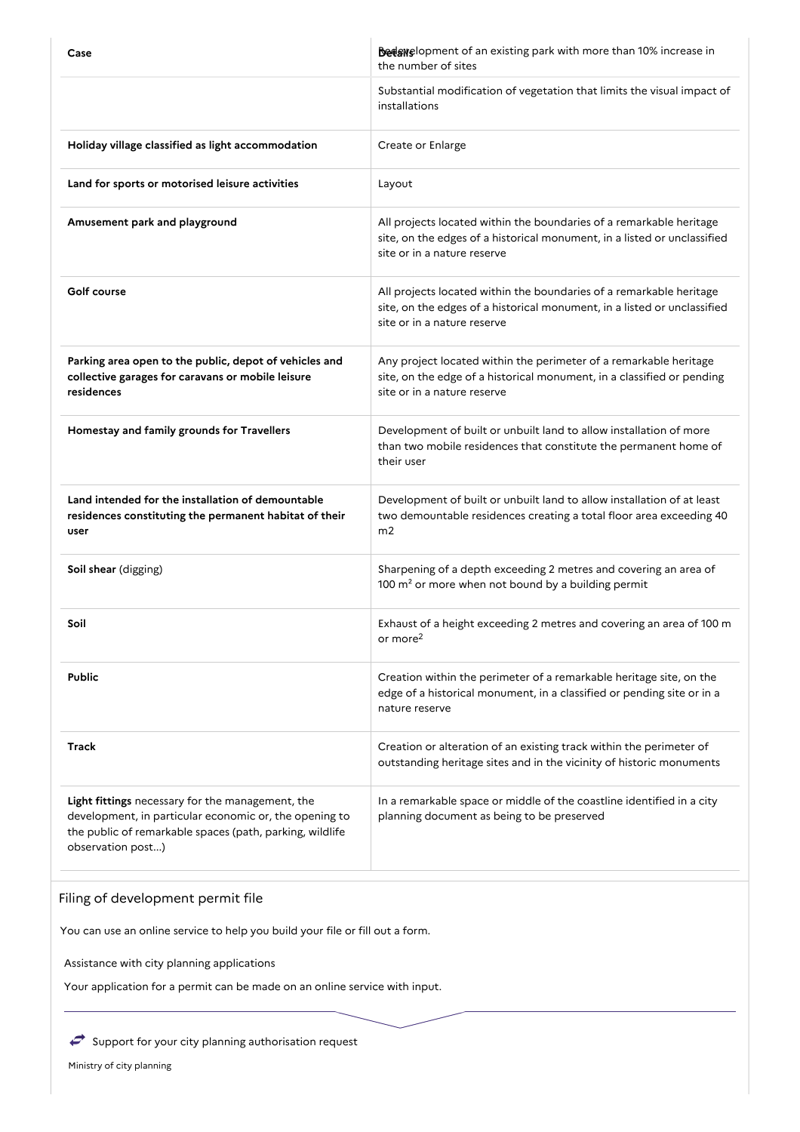| Case                                                                                                                                                                                        | <b>Bedswelopment of an existing park with more than 10% increase in</b><br>the number of sites                                                                                 |
|---------------------------------------------------------------------------------------------------------------------------------------------------------------------------------------------|--------------------------------------------------------------------------------------------------------------------------------------------------------------------------------|
|                                                                                                                                                                                             | Substantial modification of vegetation that limits the visual impact of<br>installations                                                                                       |
| Holiday village classified as light accommodation                                                                                                                                           | Create or Enlarge                                                                                                                                                              |
| Land for sports or motorised leisure activities                                                                                                                                             | Layout                                                                                                                                                                         |
| Amusement park and playground                                                                                                                                                               | All projects located within the boundaries of a remarkable heritage<br>site, on the edges of a historical monument, in a listed or unclassified<br>site or in a nature reserve |
| Golf course                                                                                                                                                                                 | All projects located within the boundaries of a remarkable heritage<br>site, on the edges of a historical monument, in a listed or unclassified<br>site or in a nature reserve |
| Parking area open to the public, depot of vehicles and<br>collective garages for caravans or mobile leisure<br>residences                                                                   | Any project located within the perimeter of a remarkable heritage<br>site, on the edge of a historical monument, in a classified or pending<br>site or in a nature reserve     |
| Homestay and family grounds for Travellers                                                                                                                                                  | Development of built or unbuilt land to allow installation of more<br>than two mobile residences that constitute the permanent home of<br>their user                           |
| Land intended for the installation of demountable<br>residences constituting the permanent habitat of their<br>user                                                                         | Development of built or unbuilt land to allow installation of at least<br>two demountable residences creating a total floor area exceeding 40<br>m <sub>2</sub>                |
| Soil shear (digging)                                                                                                                                                                        | Sharpening of a depth exceeding 2 metres and covering an area of<br>100 m <sup>2</sup> or more when not bound by a building permit                                             |
| Soil                                                                                                                                                                                        | Exhaust of a height exceeding 2 metres and covering an area of 100 m<br>or more <sup>2</sup>                                                                                   |
| <b>Public</b>                                                                                                                                                                               | Creation within the perimeter of a remarkable heritage site, on the<br>edge of a historical monument, in a classified or pending site or in a<br>nature reserve                |
| <b>Track</b>                                                                                                                                                                                | Creation or alteration of an existing track within the perimeter of<br>outstanding heritage sites and in the vicinity of historic monuments                                    |
| Light fittings necessary for the management, the<br>development, in particular economic or, the opening to<br>the public of remarkable spaces (path, parking, wildlife<br>observation post) | In a remarkable space or middle of the coastline identified in a city<br>planning document as being to be preserved                                                            |

# Filing of development permit file

You can use an online service to help you build your file or fill out a form.

Assistance with city planning applications

Your application for a permit can be made on an online service with input.

 $\leftrightarrow$  Support for your city planning authorisation request

Ministry of city planning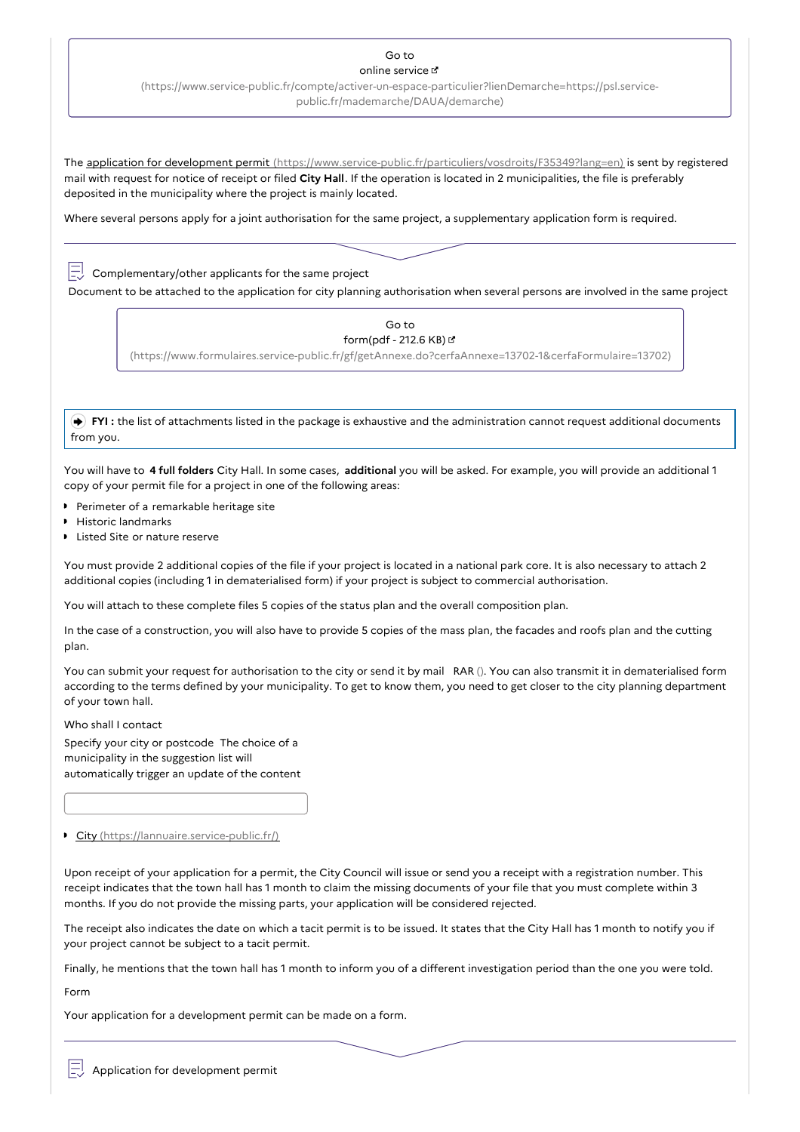# Go to

online service

[\(https://www.service-public.fr/compte/activer-un-espace-particulier?lienDemarche=https://psl.service](https://www.service-public.fr/compte/activer-un-espace-particulier?lienDemarche=https://psl.service-public.fr/mademarche/DAUA/demarche)public.fr/mademarche/DAUA/demarche)

The application for development permit [\(https://www.service-public.fr/particuliers/vosdroits/F35349?lang=en\)](https://www.service-public.fr/particuliers/vosdroits/F35349?lang=en) is sent by registered mail with request for notice of receipt or filed **City Hall**. If the operation is located in 2 municipalities, the file is preferably deposited in the municipality where the project is mainly located.

Where several persons apply for a joint authorisation for the same project, a supplementary application form is required.

 $\boxed{\square}$  Complementary/other applicants for the same project

Document to be attached to the application for city planning authorisation when several persons are involved in the same project

Go to form(pdf - 212.6 KB)

[\(https://www.formulaires.service-public.fr/gf/getAnnexe.do?cerfaAnnexe=13702-1&cerfaFormulaire=13702\)](https://www.formulaires.service-public.fr/gf/getAnnexe.do?cerfaAnnexe=13702-1&cerfaFormulaire=13702)

**FYI**: the list of attachments listed in the package is exhaustive and the administration cannot request additional documents from you.

You will have to **4 full folders** City Hall. In some cases, **additional** you will be asked. For example, you will provide an additional 1 copy of your permit file for a project in one of the following areas:

- **Perimeter of a remarkable heritage site**
- Historic landmarks
- **I** Listed Site or nature reserve

You must provide 2 additional copies of the file if your project is located in a national park core. It is also necessary to attach 2 additional copies (including 1 in dematerialised form) if your project is subject to commercial authorisation.

You will attach to these complete files 5 copies of the status plan and the overall composition plan.

In the case of a construction, you will also have to provide 5 copies of the mass plan, the facades and roofs plan and the cutting plan.

You can submit your request for authorisation to the city or send it by mail RAR (). You can also transmit it in dematerialised form according to the terms defined by your municipality. To get to know them, you need to get closer to the city planning department of your town hall.

Who shall I contact

Specify your city or postcode The choice of a municipality in the suggestion list will automatically trigger an update of the content

City [\(https://lannuaire.service-public.fr/\)](https://lannuaire.service-public.fr/)

Upon receipt of your application for a permit, the City Council will issue or send you a receipt with a registration number. This receipt indicates that the town hall has 1 month to claim the missing documents of your file that you must complete within 3 months. If you do not provide the missing parts, your application will be considered rejected.

The receipt also indicates the date on which a tacit permit is to be issued. It states that the City Hall has 1 month to notify you if your project cannot be subject to a tacit permit.

Finally, he mentions that the town hall has 1 month to inform you of a different investigation period than the one you were told.

Form

Your application for a development permit can be made on a form.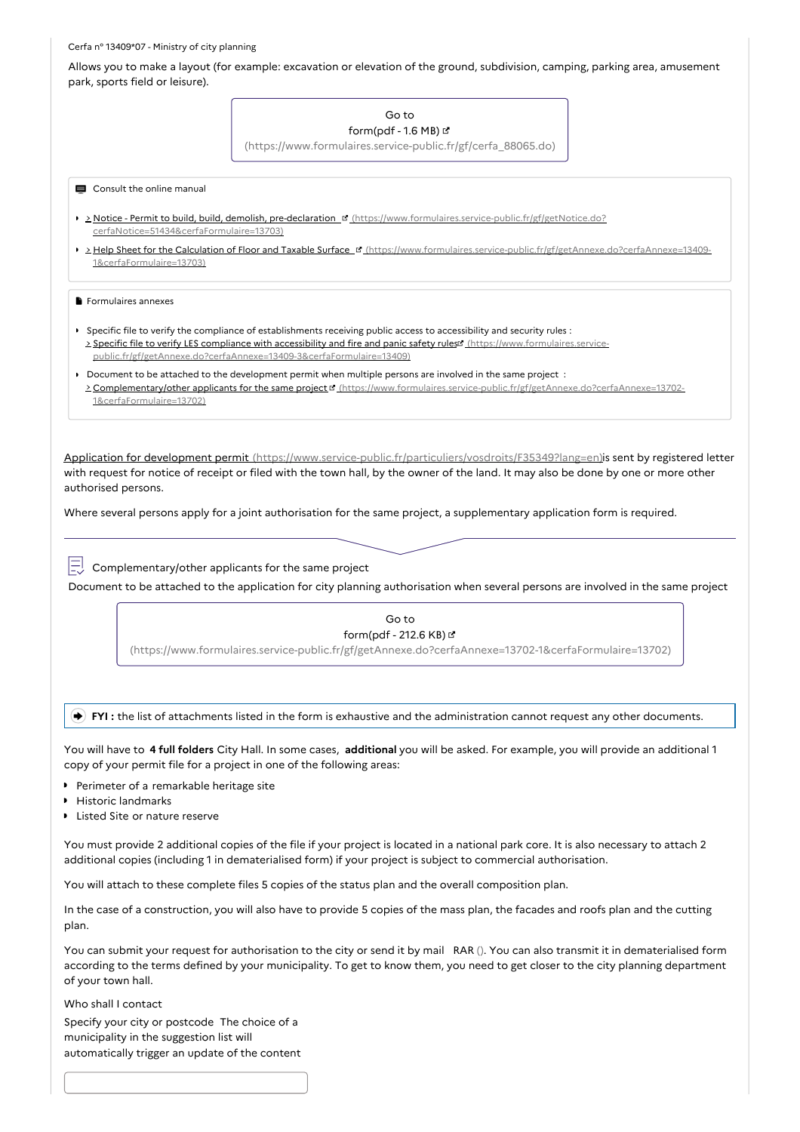#### Cerfa n° 13409\*07 - Ministry of city planning

Allows you to make a layout (for example: excavation or elevation of the ground, subdivision, camping, parking area, amusement

Application for development permit [\(https://www.service-public.fr/particuliers/vosdroits/F35349?lang=en\)](https://www.service-public.fr/particuliers/vosdroits/F35349?lang=en)is sent by registered letter with request for notice of receipt or filed with the town hall, by the owner of the land. It may also be done by one or more other authorised persons. Where several persons apply for a joint authorisation for the same project, a supplementary application form is required. **FYI :** the list of attachments listed in the form is exhaustive and the administration cannot request any other documents. You will have to **4 full folders** City Hall. In some cases, **additional** you will be asked. For example, you will provide an additional 1 copy of your permit file for a project in one of the following areas: You must provide 2 additional copies of the file if your project is located in a national park core. It is also necessary to attach 2 additional copies (including 1 in dematerialised form) if your project is subject to commercial authorisation. You will attach to these complete files 5 copies of the status plan and the overall composition plan. In the case of a construction, you will also have to provide 5 copies of the mass plan, the facades and roofs plan and the cutting plan. You can submit your request for authorisation to the city or send it by mail RAR (). You can also transmit it in dematerialised form park, sports field or leisure). Go to form(pdf - 1.6 MB) & [\(https://www.formulaires.service-public.fr/gf/cerfa\\_88065.do\)](https://www.formulaires.service-public.fr/gf/cerfa_88065.do) **E** Consult the online manual > Notice - Permit to build, build, demolish, pre-declaration <sup>of</sup> [\(https://www.formulaires.service-public.fr/gf/getNotice.do?](https://www.formulaires.service-public.fr/gf/getNotice.do?cerfaNotice=51434&cerfaFormulaire=13703) cerfaNotice=51434&cerfaFormulaire=13703) > Help Sheet for the Calculation of Floor and Taxable Surface **¤** [\(https://www.formulaires.service-public.fr/gf/getAnnexe.do?cerfaAnnexe=13409-](https://www.formulaires.service-public.fr/gf/getAnnexe.do?cerfaAnnexe=13409-1&cerfaFormulaire=13703) 1&cerfaFormulaire=13703) Formulaires annexes Specific file to verify the compliance of establishments receiving public access to accessibility and security rules : > Specific file to verify LES compliance with accessibility and fire and panic safety rules (https://www.formulaires.service[public.fr/gf/getAnnexe.do?cerfaAnnexe=13409-3&cerfaFormulaire=13409\)](https://www.formulaires.service-public.fr/gf/getAnnexe.do?cerfaAnnexe=13409-3&cerfaFormulaire=13409) Document to be attached to the development permit when multiple persons are involved in the same project : **Complementary/other applicants for the same project ¤** [\(https://www.formulaires.service-public.fr/gf/getAnnexe.do?cerfaAnnexe=13702-](https://www.formulaires.service-public.fr/gf/getAnnexe.do?cerfaAnnexe=13702-1&cerfaFormulaire=13702) 1&cerfaFormulaire=13702)  $\Box$  Complementary/other applicants for the same project Document to be attached to the application for city planning authorisation when several persons are involved in the same project Go to form(pdf - 212.6 KB) [\(https://www.formulaires.service-public.fr/gf/getAnnexe.do?cerfaAnnexe=13702-1&cerfaFormulaire=13702\)](https://www.formulaires.service-public.fr/gf/getAnnexe.do?cerfaAnnexe=13702-1&cerfaFormulaire=13702) **Perimeter of a remarkable heritage site** Historic landmarks Listed Site or nature reserve

according to the terms defined by your municipality. To get to know them, you need to get closer to the city planning department of your town hall.

Who shall I contact

Specify your city or postcode The choice of a municipality in the suggestion list will automatically trigger an update of the content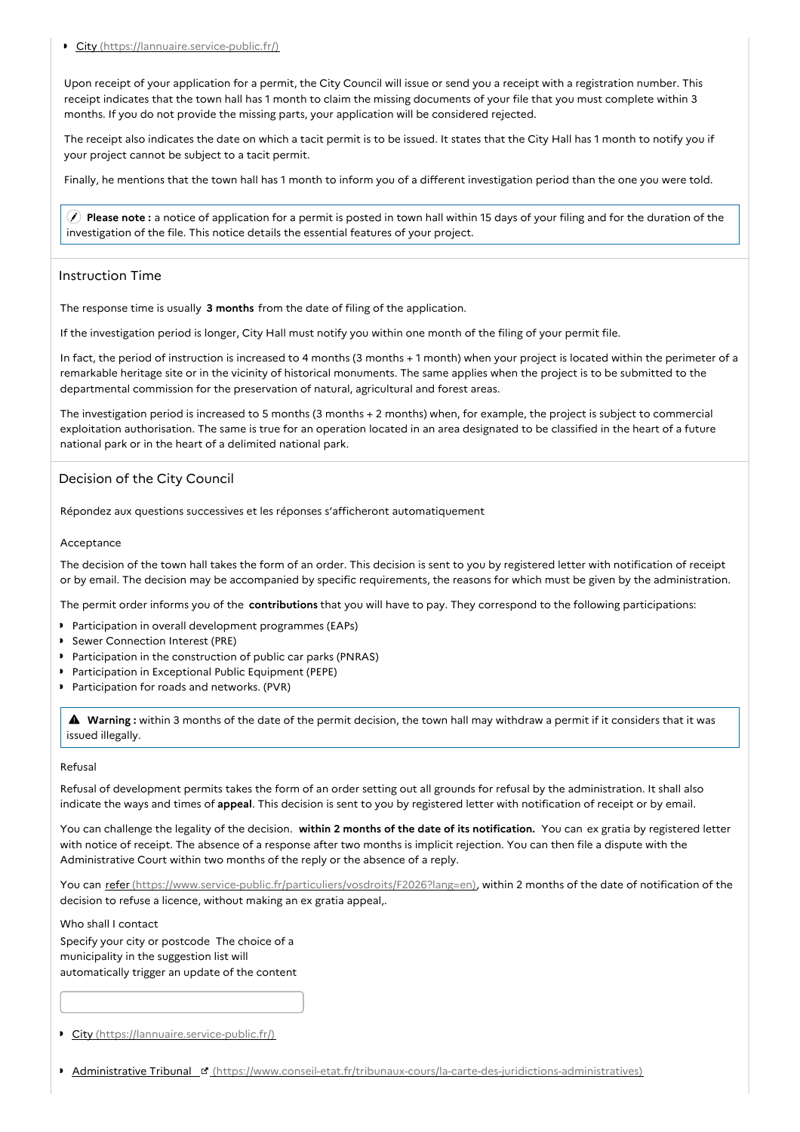### City [\(https://lannuaire.service-public.fr/\)](https://lannuaire.service-public.fr/)

Upon receipt of your application for a permit, the City Council will issue or send you a receipt with a registration number. This receipt indicates that the town hall has 1 month to claim the missing documents of your file that you must complete within 3 months. If you do not provide the missing parts, your application will be considered rejected.

The receipt also indicates the date on which a tacit permit is to be issued. It states that the City Hall has 1 month to notify you if your project cannot be subject to a tacit permit.

Finally, he mentions that the town hall has 1 month to inform you of a different investigation period than the one you were told.

 **Please note :** a notice of application for a permit is posted in town hall within 15 days of your filing and for the duration of the investigation of the file. This notice details the essential features of your project.

## Instruction Time

The response time is usually **3 months** from the date of filing of the application.

If the investigation period is longer, City Hall must notify you within one month of the filing of your permit file.

In fact, the period of instruction is increased to 4 months (3 months + 1 month) when your project is located within the perimeter of a remarkable heritage site or in the vicinity of historical monuments. The same applies when the project is to be submitted to the departmental commission for the preservation of natural, agricultural and forest areas.

The investigation period is increased to 5 months (3 months  $+ 2$  months) when, for example, the project is subject to commercial exploitation authorisation. The same is true for an operation located in an area designated to be classified in the heart of a future national park or in the heart of a delimited national park.

# Decision of the City Council

Répondez aux questions successives et les réponses s'afficheront automatiquement

### Acceptance

The decision of the town hall takes the form of an order. This decision is sent to you by registered letter with notification of receipt or by email. The decision may be accompanied by specific requirements, the reasons for which must be given by the administration.

The permit order informs you of the **contributions** that you will have to pay. They correspond to the following participations:

- **Participation in overall development programmes (EAPs)**
- Sewer Connection Interest (PRE)  $\ddot{\phantom{1}}$
- Participation in the construction of public car parks (PNRAS)
- Participation in Exceptional Public Equipment (PEPE)
- **Participation for roads and networks. (PVR)**

 **Warning :** within <sup>3</sup> months of the date of the permit decision, the town hall may withdraw <sup>a</sup> permit if it considers that it was issued illegally.

### Refusal

Refusal of development permits takes the form of an order setting out all grounds for refusal by the administration. It shall also indicate the ways and times of **appeal**. This decision is sent to you by registered letter with notification of receipt or by email.

You can challenge the legality of the decision. **within 2 months of the date of its notification.** You can ex gratia by registered letter with notice of receipt. The absence of a response after two months is implicit rejection. You can then file a dispute with the Administrative Court within two months of the reply or the absence of a reply.

You can refer [\(https://www.service-public.fr/particuliers/vosdroits/F2026?lang=en\)](https://www.service-public.fr/particuliers/vosdroits/F2026?lang=en), within 2 months of the date of notification of the decision to refuse a licence, without making an ex gratia appeal,.

Who shall I contact

Specify your city or postcode The choice of a municipality in the suggestion list will automatically trigger an update of the content

City [\(https://lannuaire.service-public.fr/\)](https://lannuaire.service-public.fr/)

Administrative Tribunal [\(https://www.conseil-etat.fr/tribunaux-cours/la-carte-des-juridictions-administratives\)](https://www.conseil-etat.fr/tribunaux-cours/la-carte-des-juridictions-administratives)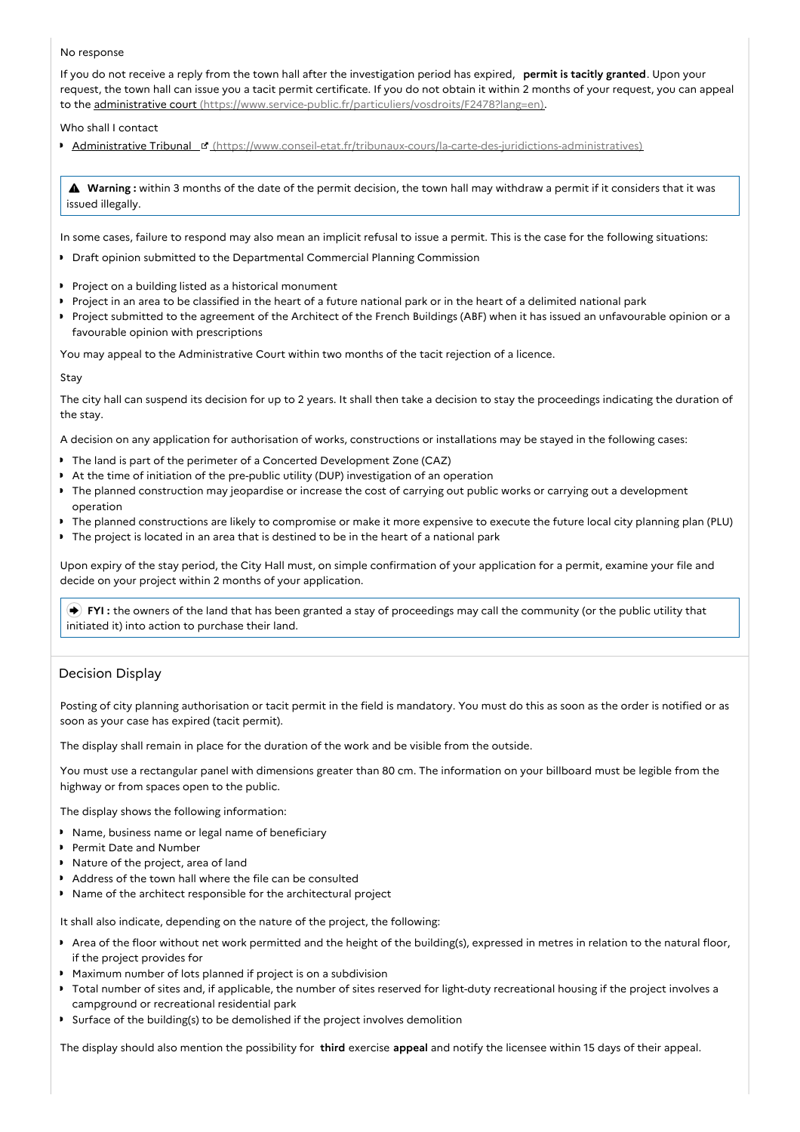### No response

If you do not receive a reply from the town hall after the investigation period has expired, **permit is tacitly granted**. Upon your request, the town hall can issue you a tacit permit certificate. If you do not obtain it within 2 months of your request, you can appeal to the administrative court [\(https://www.service-public.fr/particuliers/vosdroits/F2478?lang=en\)](https://www.service-public.fr/particuliers/vosdroits/F2478?lang=en).

Who shall I contact

Administrative Tribunal [\(https://www.conseil-etat.fr/tribunaux-cours/la-carte-des-juridictions-administratives\)](https://www.conseil-etat.fr/tribunaux-cours/la-carte-des-juridictions-administratives)

 **Warning :** within <sup>3</sup> months of the date of the permit decision, the town hall may withdraw <sup>a</sup> permit if it considers that it was issued illegally.

In some cases, failure to respond may also mean an implicit refusal to issue a permit. This is the case for the following situations:

- **Draft opinion submitted to the Departmental Commercial Planning Commission**
- **Project on a building listed as a historical monument**
- Project in an area to be classified in the heart of a future national park or in the heart of a delimited national park
- Project submitted to the agreement of the Architect of the French Buildings (ABF) when it has issued an unfavourable opinion or a favourable opinion with prescriptions

You may appeal to the Administrative Court within two months of the tacit rejection of a licence.

Stay

The city hall can suspend its decision for up to 2 years. It shall then take a decision to stay the proceedings indicating the duration of the stay.

A decision on any application for authorisation of works, constructions or installations may be stayed in the following cases:

- The land is part of the perimeter of a Concerted Development Zone (CAZ)
- At the time of initiation of the pre-public utility (DUP) investigation of an operation
- $\ddot{\phantom{a}}$ The planned construction may jeopardise or increase the cost of carrying out public works or carrying out a development operation
- The planned constructions are likely to compromise or make it more expensive to execute the future local city planning plan (PLU)
- The project is located in an area that is destined to be in the heart of a national park

Upon expiry of the stay period, the City Hall must, on simple confirmation of your application for a permit, examine your file and decide on your project within 2 months of your application.

 **FYI :** the owners of the land that has been granted a stay of proceedings may call the community (or the public utility that initiated it) into action to purchase their land.

# Decision Display

Posting of city planning authorisation or tacit permit in the field is mandatory. You must do this as soon as the order is notified or as soon as your case has expired (tacit permit).

The display shall remain in place for the duration of the work and be visible from the outside.

You must use a rectangular panel with dimensions greater than 80 cm. The information on your billboard must be legible from the highway or from spaces open to the public.

The display shows the following information:

- **Name, business name or legal name of beneficiary**
- **Permit Date and Number**
- Nature of the project, area of land
- Address of the town hall where the file can be consulted
- Name of the architect responsible for the architectural project

It shall also indicate, depending on the nature of the project, the following:

- Area of the floor without net work permitted and the height of the building(s), expressed in metres in relation to the natural floor, if the project provides for
- Maximum number of lots planned if project is on a subdivision
- Total number of sites and, if applicable, the number of sites reserved for light-duty recreational housing if the project involves a campground or recreational residential park
- Surface of the building(s) to be demolished if the project involves demolition

The display should also mention the possibility for **third** exercise **appeal** and notify the licensee within 15 days of their appeal.